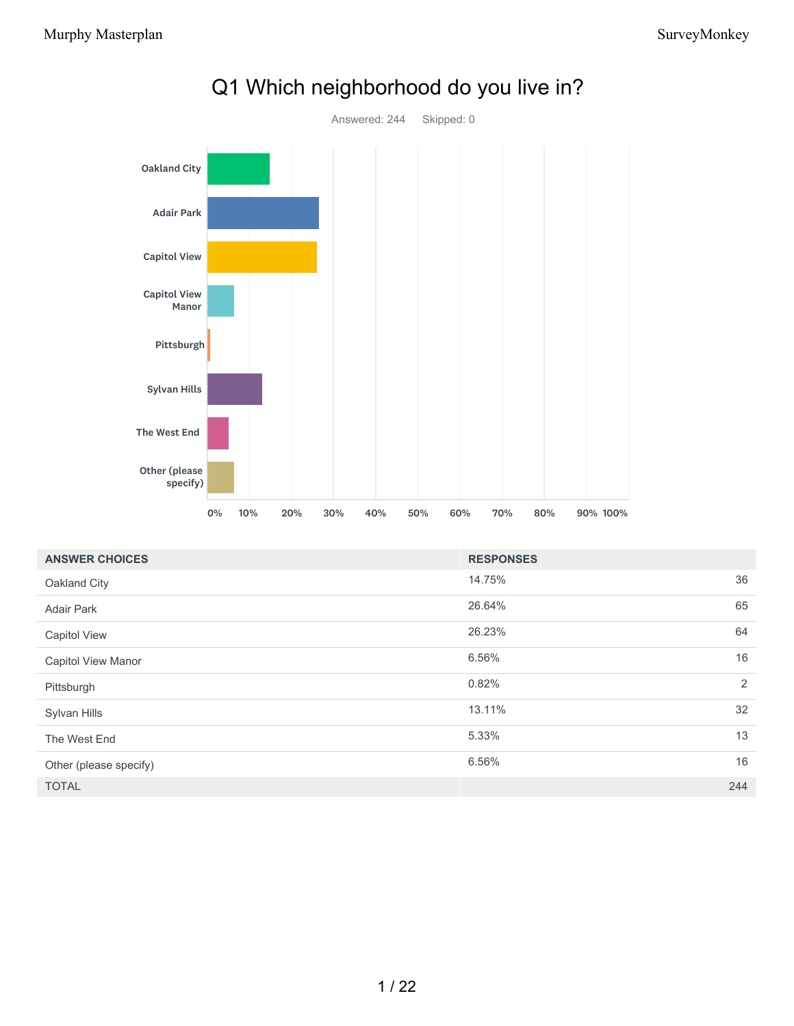

## Q1 Which neighborhood do you live in?

| <b>ANSWER CHOICES</b>     | <b>RESPONSES</b> |     |
|---------------------------|------------------|-----|
| Oakland City              | 14.75%           | 36  |
| <b>Adair Park</b>         | 26.64%           | 65  |
| <b>Capitol View</b>       | 26.23%           | 64  |
| <b>Capitol View Manor</b> | 6.56%            | 16  |
| Pittsburgh                | 0.82%            | 2   |
| Sylvan Hills              | 13.11%           | 32  |
| The West End              | 5.33%            | 13  |
| Other (please specify)    | 6.56%            | 16  |
| <b>TOTAL</b>              |                  | 244 |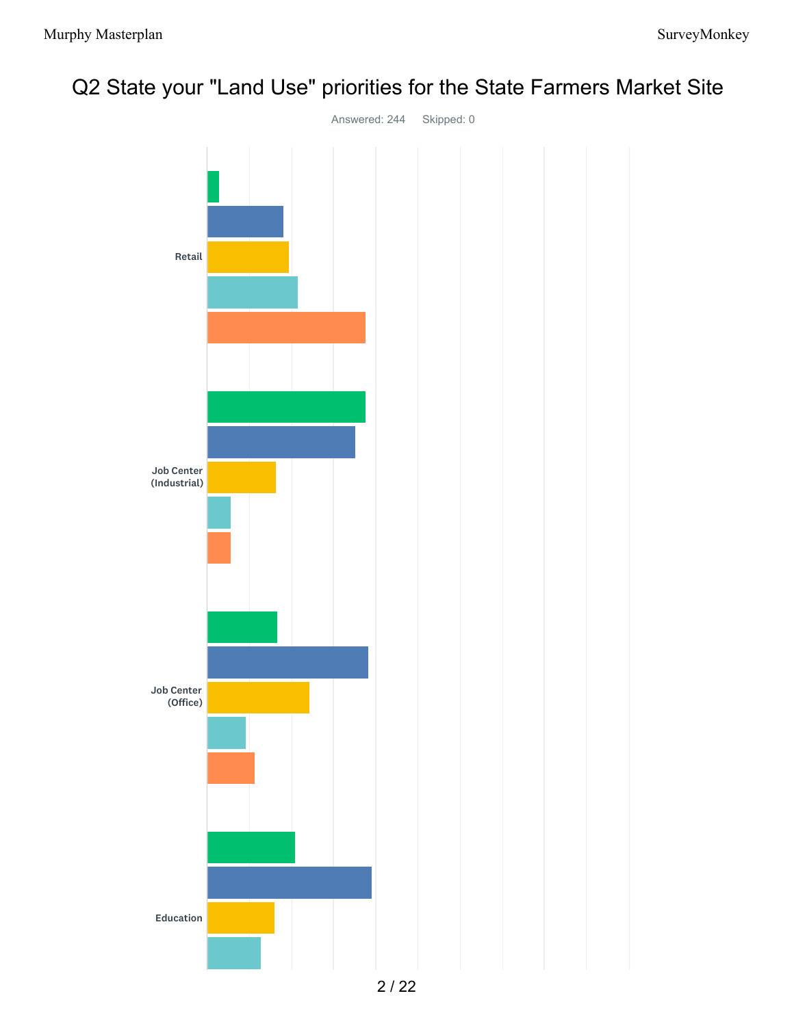

# Q2 State your "Land Use" priorities for the State Farmers Market Site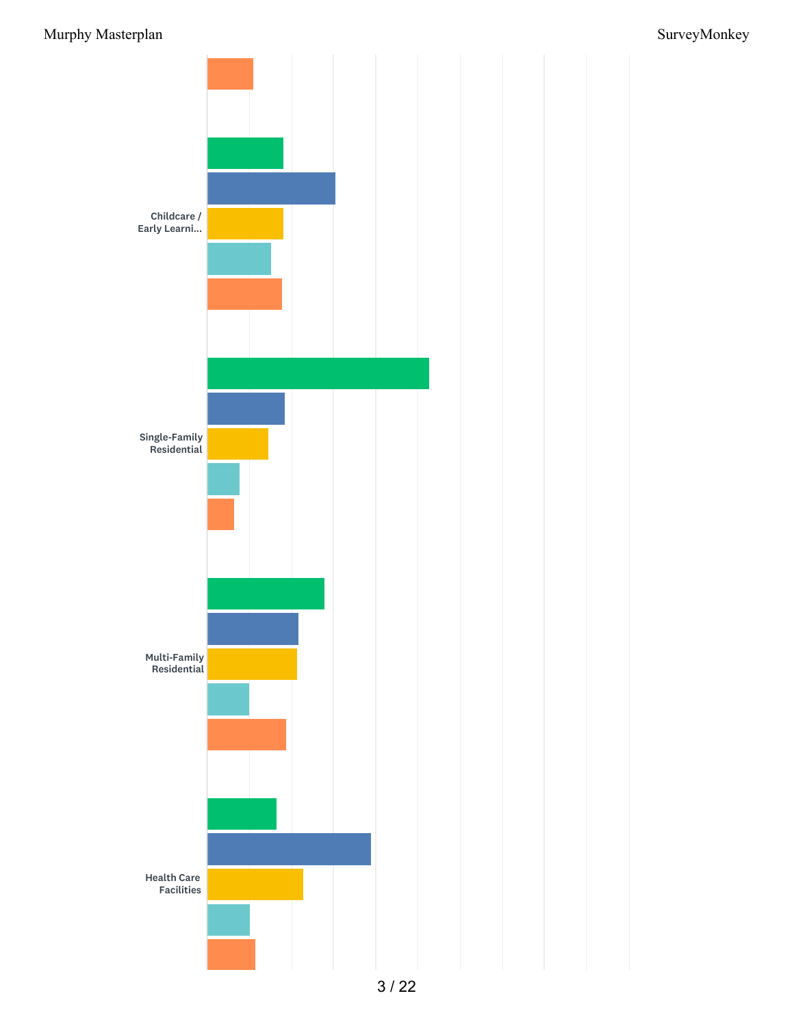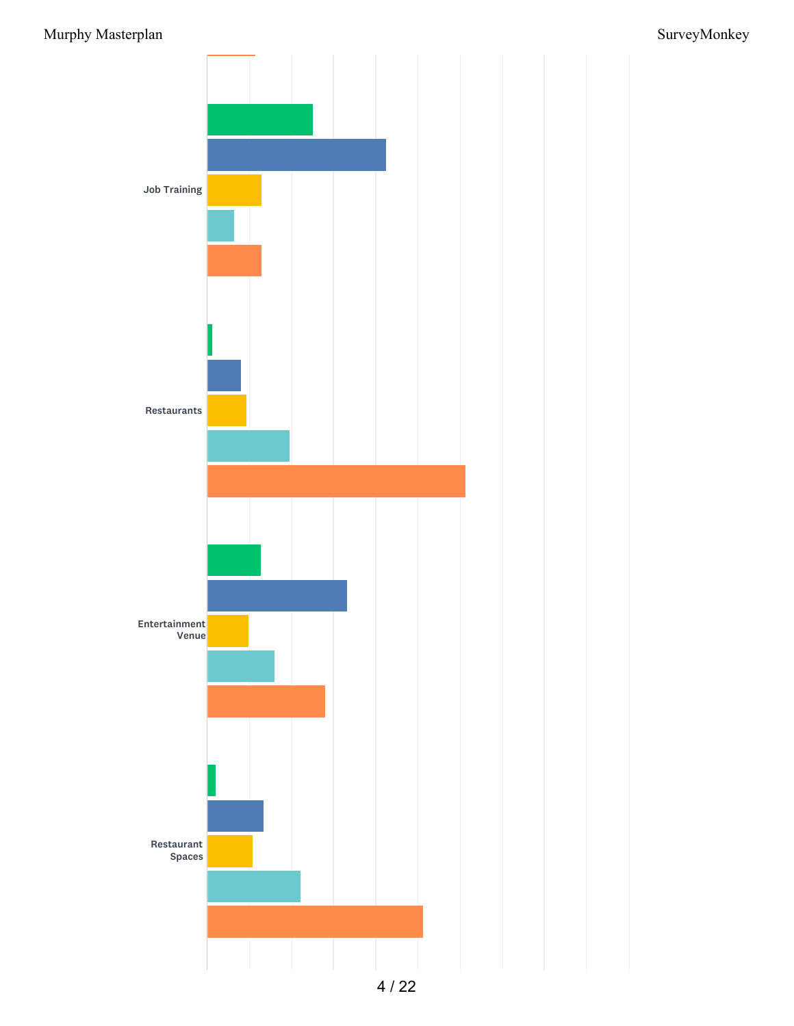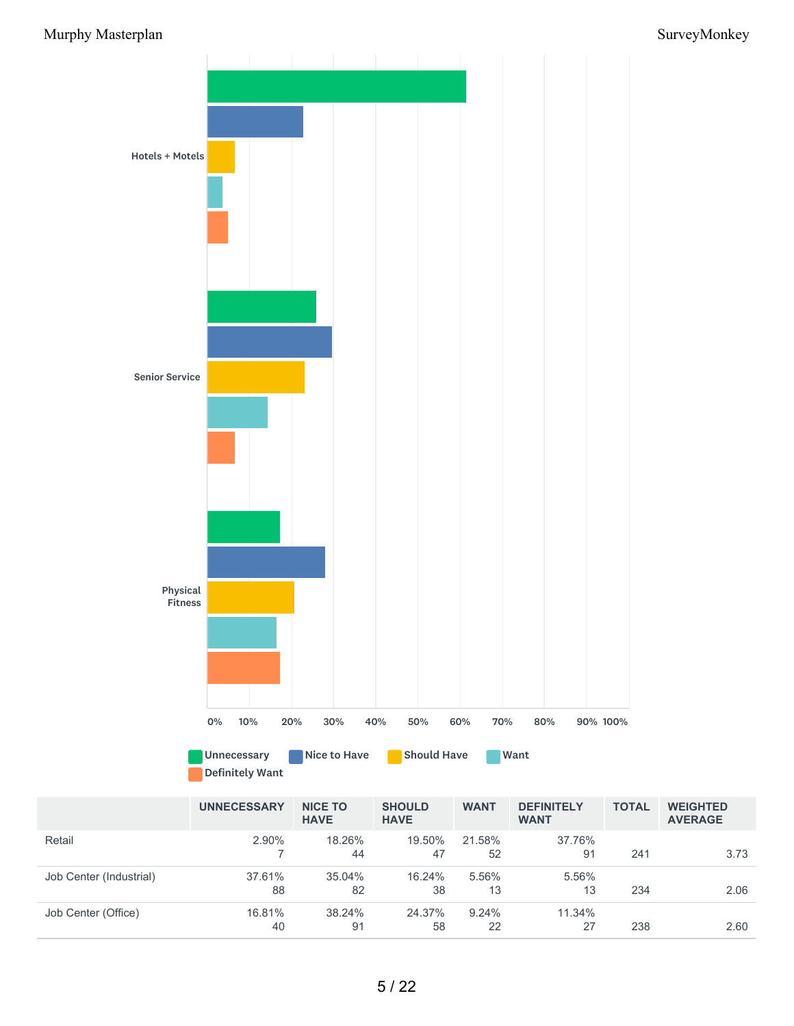

Definitely Want

|                         | <b>UNNECESSARY</b> | <b>NICE TO</b><br><b>HAVE</b> | <b>SHOULD</b><br><b>HAVE</b> | <b>WANT</b>  | <b>DEFINITELY</b><br><b>WANT</b> | <b>TOTAL</b> | <b>WEIGHTED</b><br><b>AVERAGE</b> |
|-------------------------|--------------------|-------------------------------|------------------------------|--------------|----------------------------------|--------------|-----------------------------------|
| Retail                  | 2.90%              | 18.26%<br>44                  | 19.50%<br>47                 | 21.58%<br>52 | 37.76%<br>91                     | 241          | 3.73                              |
| Job Center (Industrial) | 37.61%<br>88       | $35.04\%$<br>82               | 16.24%<br>38                 | 5.56%<br>13  | 5.56%<br>13                      | 234          | 2.06                              |
| Job Center (Office)     | 16.81%<br>40       | 38.24%<br>91                  | 24.37%<br>58                 | 9.24%<br>22  | 11.34%<br>27                     | 238          | 2.60                              |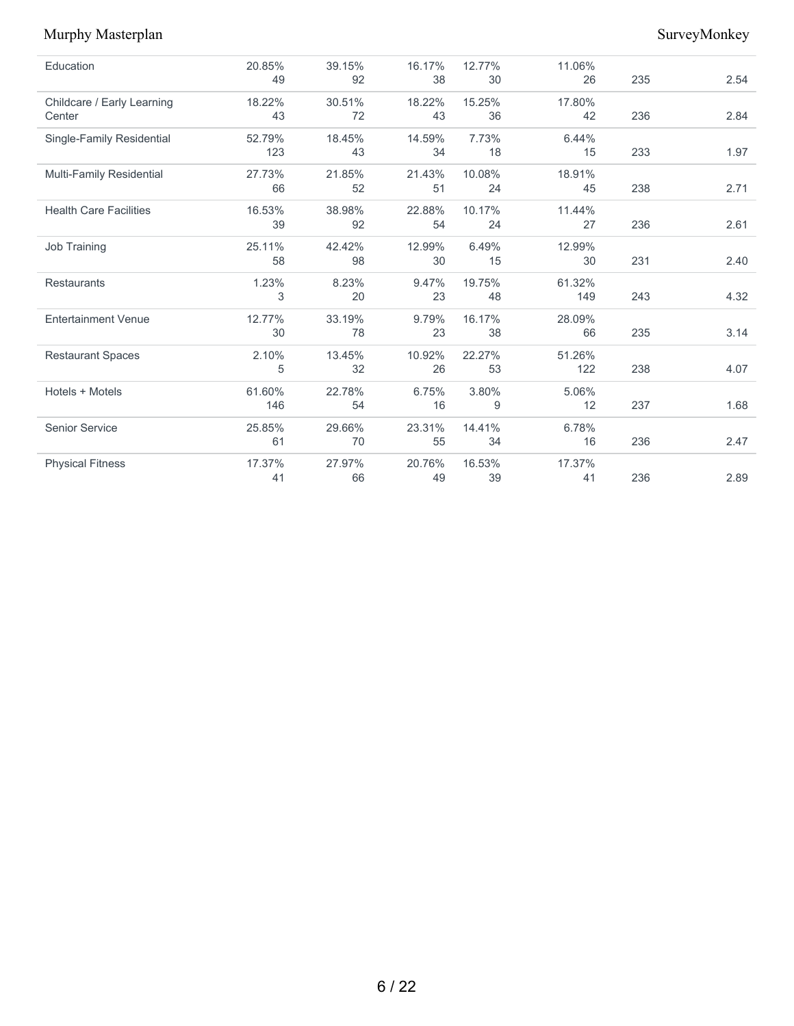| Education                     | 20.85% | 39.15% | 16.17% | 12.77% | 11.06% |     |      |
|-------------------------------|--------|--------|--------|--------|--------|-----|------|
|                               | 49     | 92     | 38     | 30     | 26     | 235 | 2.54 |
| Childcare / Early Learning    | 18.22% | 30.51% | 18.22% | 15.25% | 17.80% |     |      |
| Center                        | 43     | 72     | 43     | 36     | 42     | 236 | 2.84 |
| Single-Family Residential     | 52.79% | 18.45% | 14.59% | 7.73%  | 6.44%  |     |      |
|                               | 123    | 43     | 34     | 18     | 15     | 233 | 1.97 |
| Multi-Family Residential      | 27.73% | 21.85% | 21.43% | 10.08% | 18.91% |     |      |
|                               | 66     | 52     | 51     | 24     | 45     | 238 | 2.71 |
| <b>Health Care Facilities</b> | 16.53% | 38.98% | 22.88% | 10.17% | 11.44% |     |      |
|                               | 39     | 92     | 54     | 24     | 27     | 236 | 2.61 |
| Job Training                  | 25.11% | 42.42% | 12.99% | 6.49%  | 12.99% |     |      |
|                               | 58     | 98     | 30     | 15     | 30     | 231 | 2.40 |
| <b>Restaurants</b>            | 1.23%  | 8.23%  | 9.47%  | 19.75% | 61.32% |     |      |
|                               | 3      | 20     | 23     | 48     | 149    | 243 | 4.32 |
| <b>Entertainment Venue</b>    | 12.77% | 33.19% | 9.79%  | 16.17% | 28.09% |     |      |
|                               | 30     | 78     | 23     | 38     | 66     | 235 | 3.14 |
| <b>Restaurant Spaces</b>      | 2.10%  | 13.45% | 10.92% | 22.27% | 51.26% |     |      |
|                               | 5      | 32     | 26     | 53     | 122    | 238 | 4.07 |
| Hotels + Motels               | 61.60% | 22.78% | 6.75%  | 3.80%  | 5.06%  |     |      |
|                               | 146    | 54     | 16     | 9      | 12     | 237 | 1.68 |
| <b>Senior Service</b>         | 25.85% | 29.66% | 23.31% | 14.41% | 6.78%  |     |      |
|                               | 61     | 70     | 55     | 34     | 16     | 236 | 2.47 |
| <b>Physical Fitness</b>       | 17.37% | 27.97% | 20.76% | 16.53% | 17.37% |     |      |
|                               | 41     | 66     | 49     | 39     | 41     | 236 | 2.89 |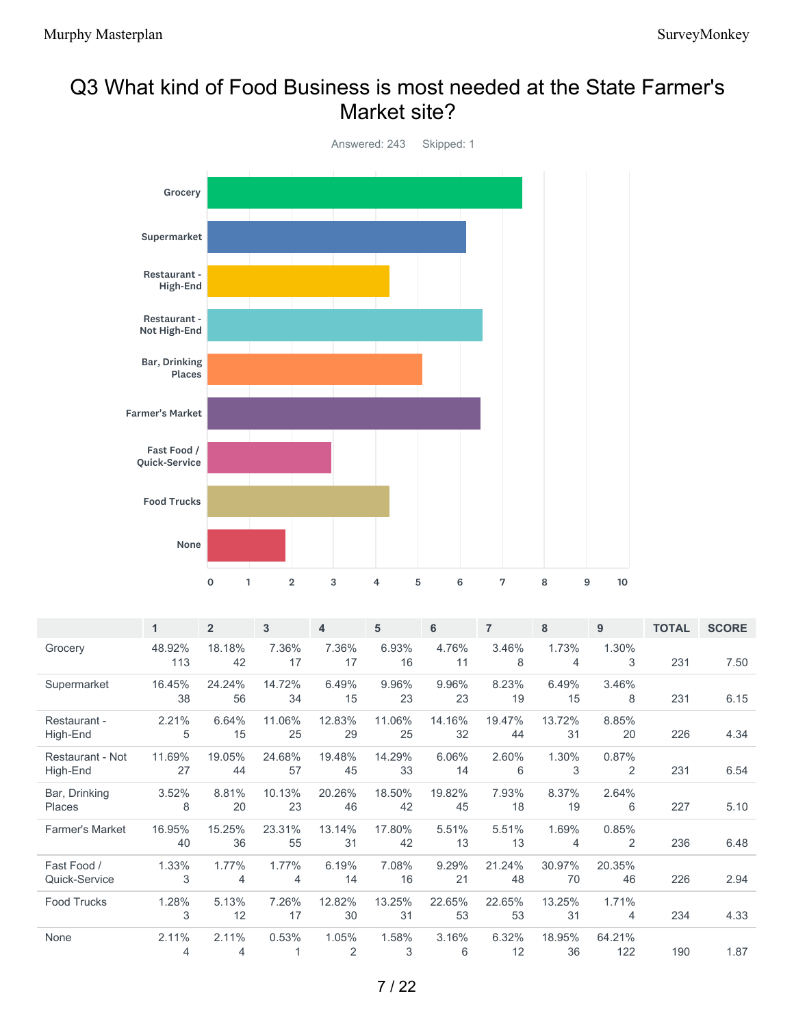## Q3 What kind of Food Business is most needed at the State Farmer's Market site?



|                              | $\mathbf{1}$  | $\overline{2}$          | 3            | 4                       | 5            | 6            | $\overline{7}$ | 8            | 9             | <b>TOTAL</b> | <b>SCORE</b> |
|------------------------------|---------------|-------------------------|--------------|-------------------------|--------------|--------------|----------------|--------------|---------------|--------------|--------------|
| Grocery                      | 48.92%<br>113 | 18.18%<br>42            | 7.36%<br>17  | 7.36%<br>17             | 6.93%<br>16  | 4.76%<br>11  | 3.46%<br>8     | 1.73%<br>4   | 1.30%<br>3    | 231          | 7.50         |
| Supermarket                  | 16.45%<br>38  | 24.24%<br>56            | 14.72%<br>34 | 6.49%<br>15             | 9.96%<br>23  | 9.96%<br>23  | 8.23%<br>19    | 6.49%<br>15  | 3.46%<br>8    | 231          | 6.15         |
| Restaurant -<br>High-End     | 2.21%<br>5    | 6.64%<br>15             | 11.06%<br>25 | 12.83%<br>29            | 11.06%<br>25 | 14.16%<br>32 | 19.47%<br>44   | 13.72%<br>31 | 8.85%<br>20   | 226          | 4.34         |
| Restaurant - Not<br>High-End | 11.69%<br>27  | 19.05%<br>44            | 24.68%<br>57 | 19.48%<br>45            | 14.29%<br>33 | 6.06%<br>14  | 2.60%<br>6     | 1.30%<br>3   | 0.87%<br>2    | 231          | 6.54         |
| Bar, Drinking<br>Places      | 3.52%<br>8    | 8.81%<br>20             | 10.13%<br>23 | 20.26%<br>46            | 18.50%<br>42 | 19.82%<br>45 | 7.93%<br>18    | 8.37%<br>19  | 2.64%<br>6    | 227          | 5.10         |
| <b>Farmer's Market</b>       | 16.95%<br>40  | 15.25%<br>36            | 23.31%<br>55 | 13.14%<br>31            | 17.80%<br>42 | 5.51%<br>13  | 5.51%<br>13    | 1.69%<br>4   | 0.85%<br>2    | 236          | 6.48         |
| Fast Food /<br>Quick-Service | 1.33%<br>3    | 1.77%<br>$\overline{4}$ | 1.77%<br>4   | 6.19%<br>14             | 7.08%<br>16  | 9.29%<br>21  | 21.24%<br>48   | 30.97%<br>70 | 20.35%<br>46  | 226          | 2.94         |
| <b>Food Trucks</b>           | 1.28%<br>3    | 5.13%<br>12             | 7.26%<br>17  | 12.82%<br>30            | 13.25%<br>31 | 22.65%<br>53 | 22.65%<br>53   | 13.25%<br>31 | 1.71%<br>4    | 234          | 4.33         |
| None                         | 2.11%<br>4    | 2.11%<br>4              | 0.53%        | 1.05%<br>$\overline{2}$ | 1.58%<br>3   | 3.16%<br>6   | 6.32%<br>12    | 18.95%<br>36 | 64.21%<br>122 | 190          | 1.87         |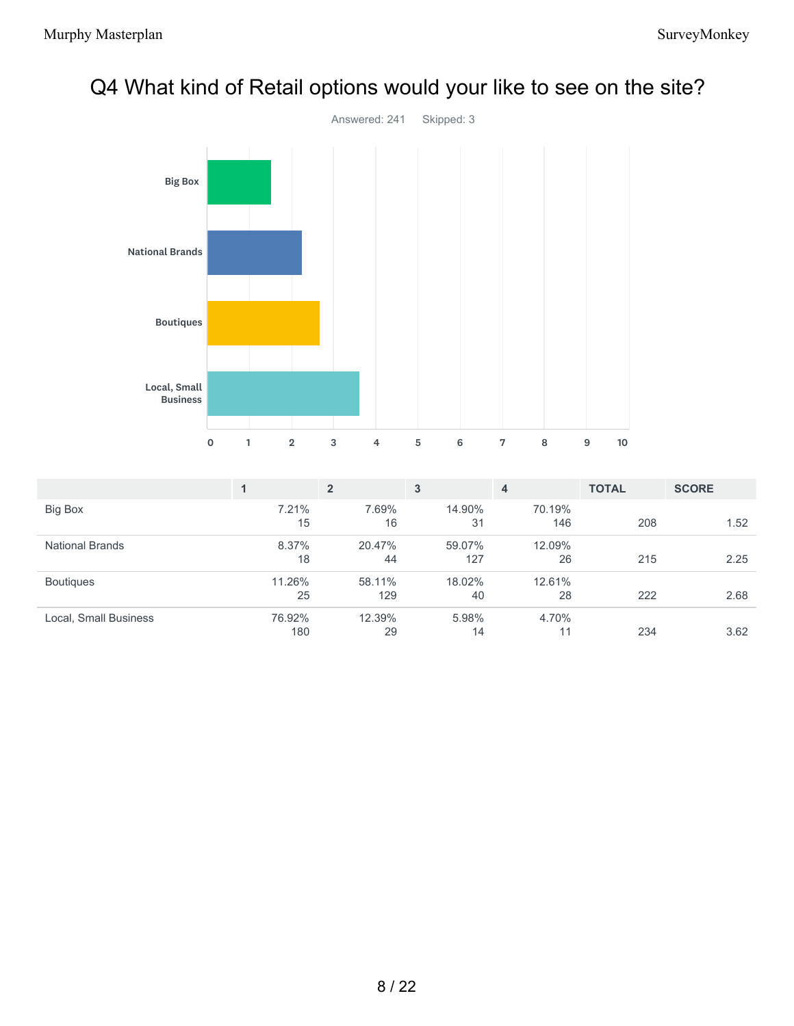

## Q4 What kind of Retail options would your like to see on the site?

|                        |               | $\overline{2}$ | 3             | 4             | <b>TOTAL</b> | <b>SCORE</b> |
|------------------------|---------------|----------------|---------------|---------------|--------------|--------------|
| <b>Big Box</b>         | 7.21%<br>15   | 7.69%<br>16    | 14.90%<br>31  | 70.19%<br>146 | 208          | 1.52         |
| <b>National Brands</b> | 8.37%<br>18   | 20.47%<br>44   | 59.07%<br>127 | 12.09%<br>26  | 215          | 2.25         |
| <b>Boutiques</b>       | 11.26%<br>25  | 58.11%<br>129  | 18.02%<br>40  | 12.61%<br>28  | 222          | 2.68         |
| Local, Small Business  | 76.92%<br>180 | 12.39%<br>29   | 5.98%<br>14   | 4.70%<br>11   | 234          | 3.62         |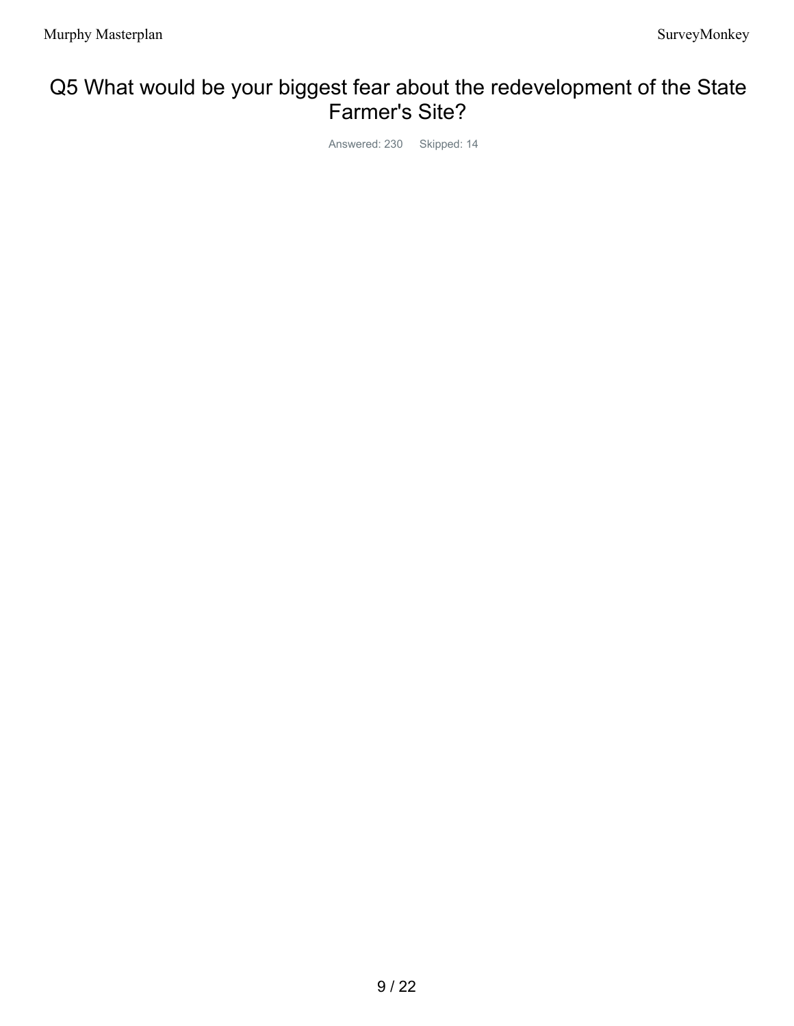## Q5 What would be your biggest fear about the redevelopment of the State Farmer's Site?

Answered: 230 Skipped: 14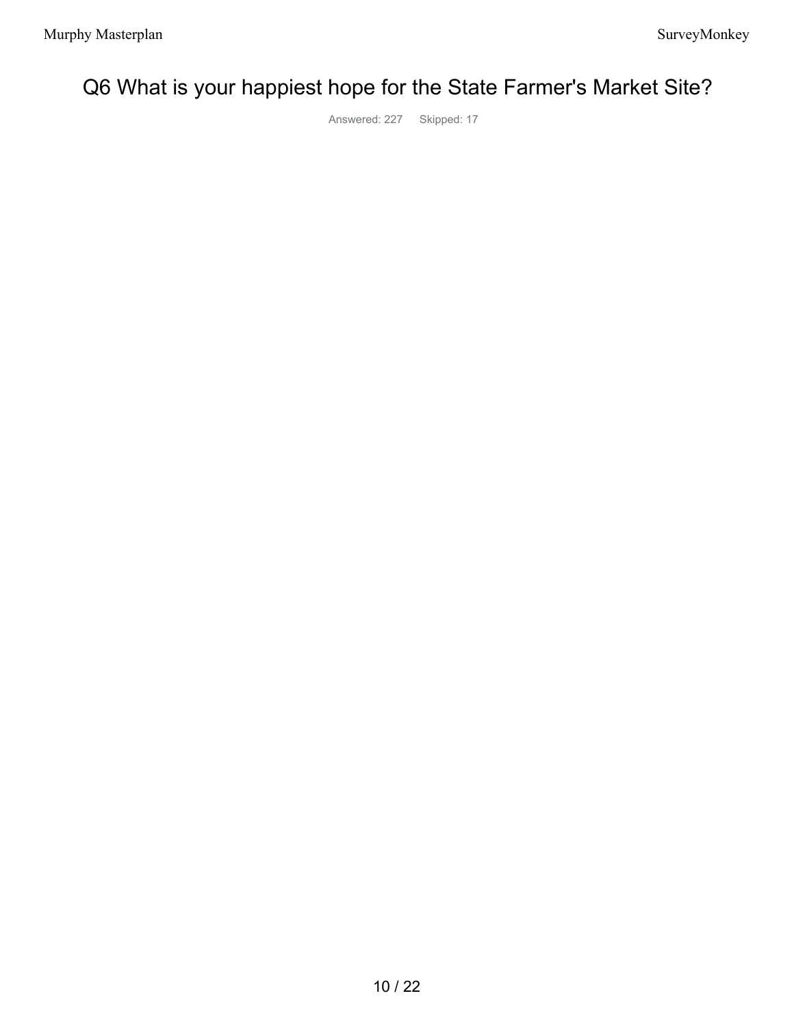# Q6 What is your happiest hope for the State Farmer's Market Site?

Answered: 227 Skipped: 17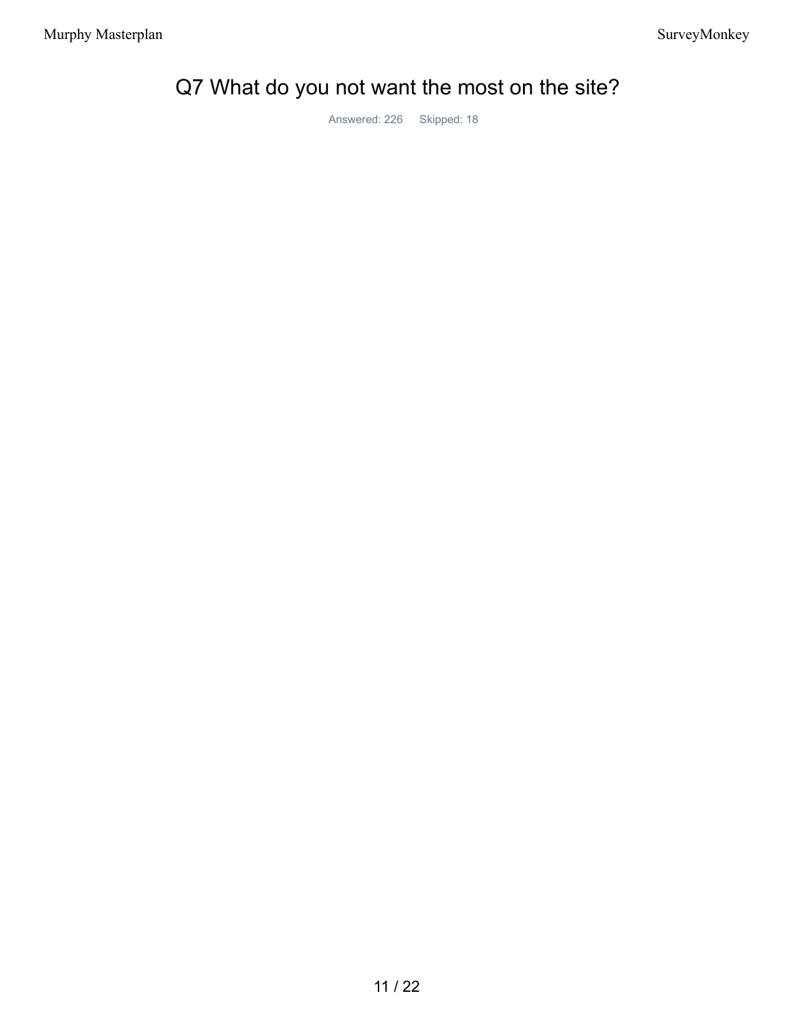# Q7 What do you not want the most on the site?

Answered: 226 Skipped: 18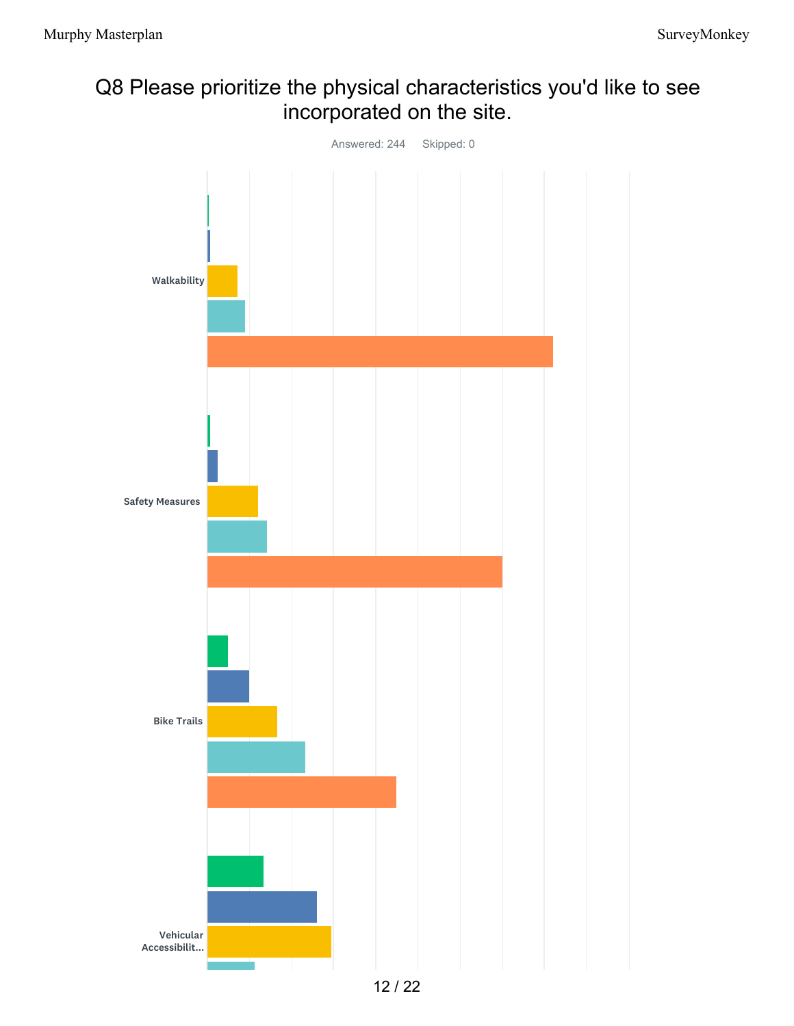## Q8 Please prioritize the physical characteristics you'd like to see incorporated on the site.

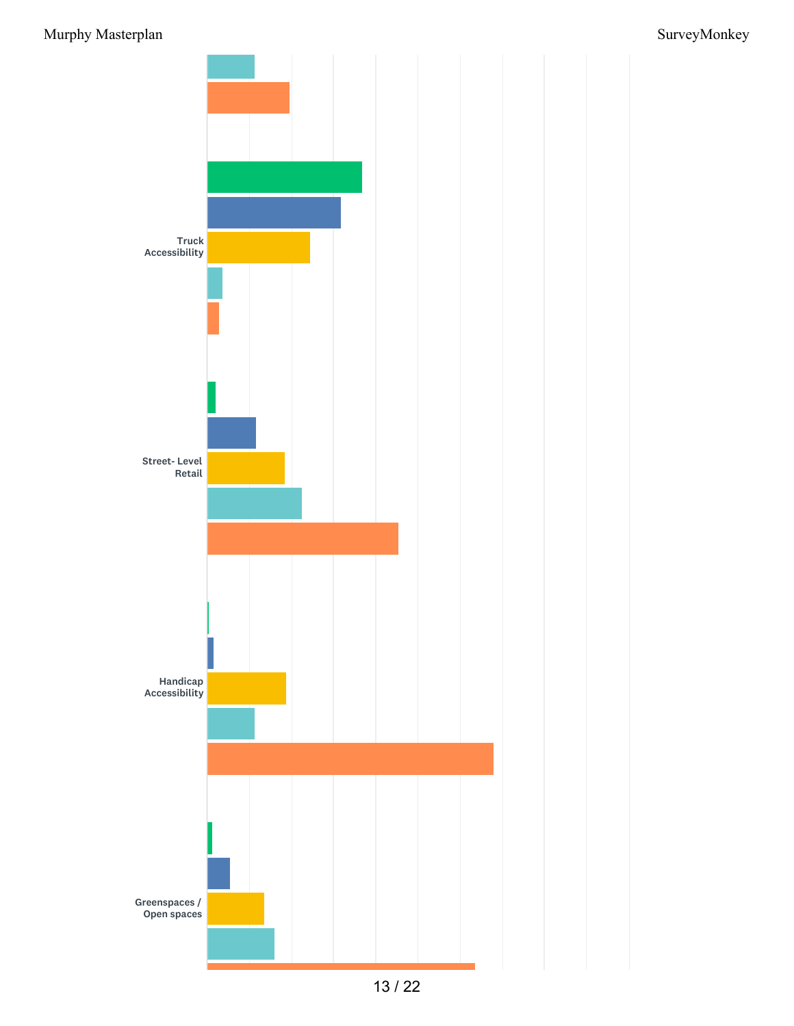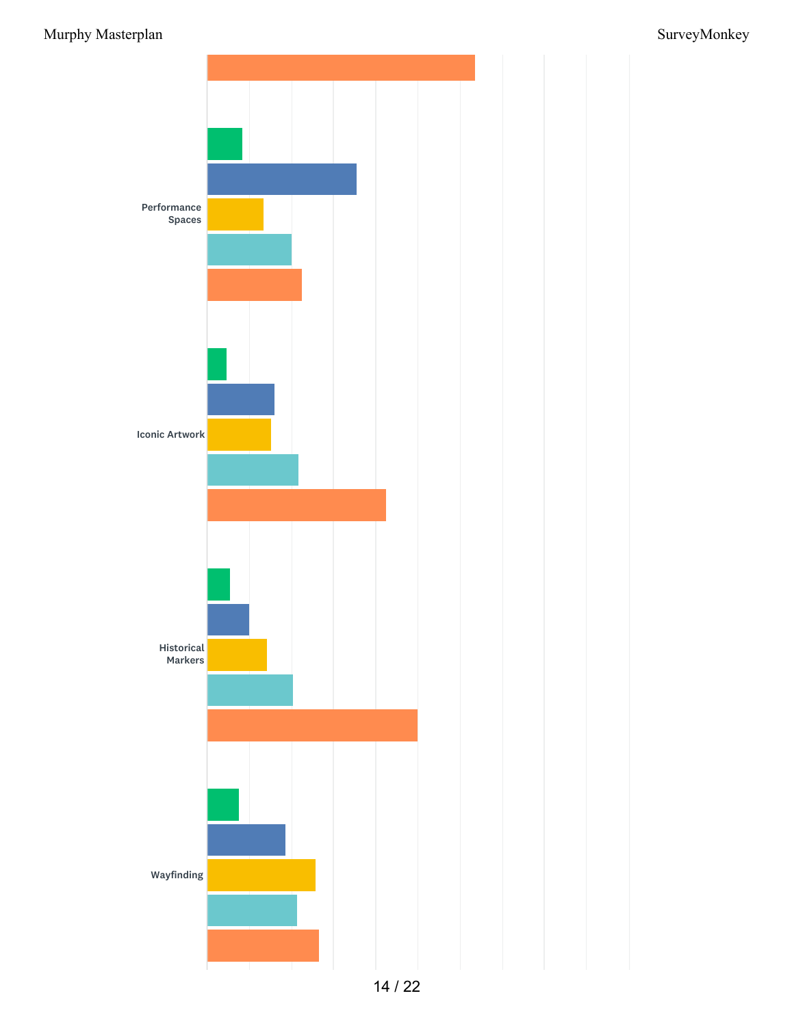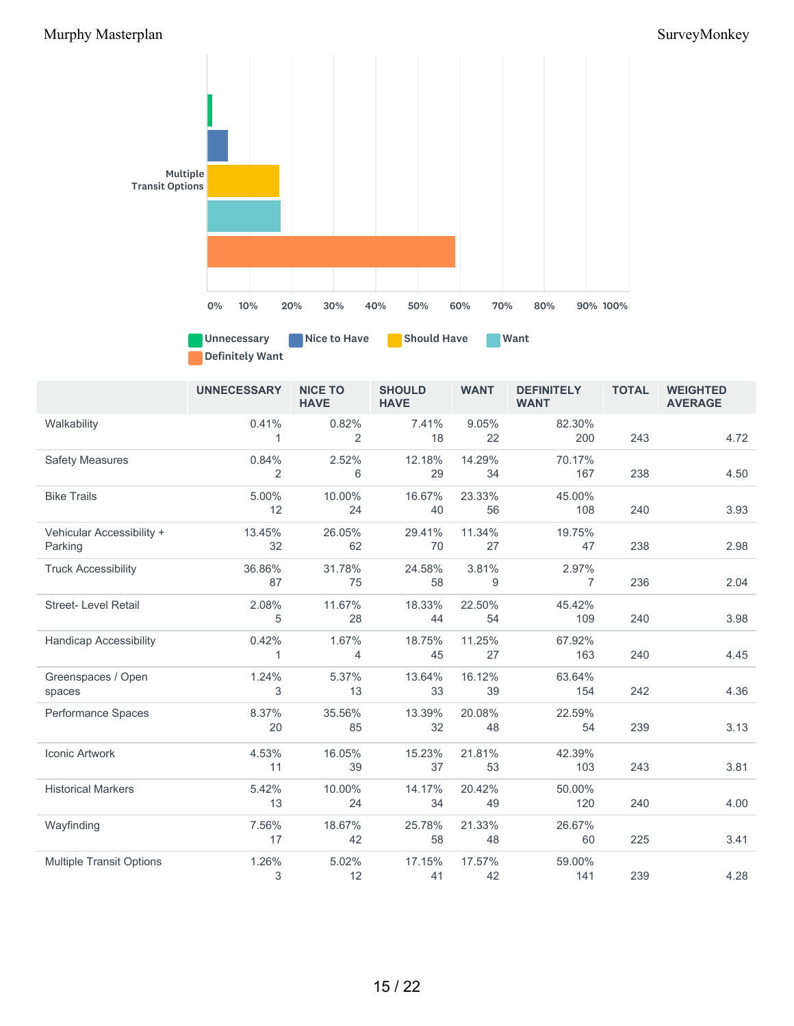

Unnecessary Nice to Have Should Have Want Definitely Want

|                                 | <b>UNNECESSARY</b> | <b>NICE TO</b><br><b>HAVE</b> | <b>SHOULD</b><br><b>HAVE</b> | <b>WANT</b> | <b>DEFINITELY</b><br><b>WANT</b> | <b>TOTAL</b> | <b>WEIGHTED</b><br><b>AVERAGE</b> |
|---------------------------------|--------------------|-------------------------------|------------------------------|-------------|----------------------------------|--------------|-----------------------------------|
| Walkability                     | 0.41%              | 0.82%                         | 7.41%                        | 9.05%       | 82.30%                           |              |                                   |
|                                 | 1                  | 2                             | 18                           | 22          | 200                              | 243          | 4.72                              |
| <b>Safety Measures</b>          | 0.84%              | 2.52%                         | 12.18%                       | 14.29%      | 70.17%                           |              |                                   |
|                                 | 2                  | 6                             | 29                           | 34          | 167                              | 238          | 4.50                              |
| <b>Bike Trails</b>              | 5.00%              | 10.00%                        | 16.67%                       | 23.33%      | 45.00%                           |              |                                   |
|                                 | 12                 | 24                            | 40                           | 56          | 108                              | 240          | 3.93                              |
| Vehicular Accessibility +       | 13.45%             | 26.05%                        | 29.41%                       | 11.34%      | 19.75%                           |              |                                   |
| Parking                         | 32                 | 62                            | 70                           | 27          | 47                               | 238          | 2.98                              |
| <b>Truck Accessibility</b>      | 36.86%             | 31.78%                        | 24.58%                       | 3.81%       | 2.97%                            |              |                                   |
|                                 | 87                 | 75                            | 58                           | 9           | $\overline{7}$                   | 236          | 2.04                              |
| <b>Street-Level Retail</b>      | 2.08%              | 11.67%                        | 18.33%                       | 22.50%      | 45.42%                           |              |                                   |
|                                 | 5                  | 28                            | 44                           | 54          | 109                              | 240          | 3.98                              |
| <b>Handicap Accessibility</b>   | 0.42%              | 1.67%                         | 18.75%                       | 11.25%      | 67.92%                           |              |                                   |
|                                 | 1                  | 4                             | 45                           | 27          | 163                              | 240          | 4.45                              |
| Greenspaces / Open              | 1.24%              | 5.37%                         | 13.64%                       | 16.12%      | 63.64%                           |              |                                   |
| spaces                          | 3                  | 13                            | 33                           | 39          | 154                              | 242          | 4.36                              |
| Performance Spaces              | 8.37%              | 35.56%                        | 13.39%                       | 20.08%      | 22.59%                           |              |                                   |
|                                 | 20                 | 85                            | 32                           | 48          | 54                               | 239          | 3.13                              |
| Iconic Artwork                  | 4.53%              | 16.05%                        | 15.23%                       | 21.81%      | 42.39%                           |              |                                   |
|                                 | 11                 | 39                            | 37                           | 53          | 103                              | 243          | 3.81                              |
| <b>Historical Markers</b>       | 5.42%              | 10.00%                        | 14.17%                       | 20.42%      | 50.00%                           |              |                                   |
|                                 | 13                 | 24                            | 34                           | 49          | 120                              | 240          | 4.00                              |
| Wayfinding                      | 7.56%              | 18.67%                        | 25.78%                       | 21.33%      | 26.67%                           |              |                                   |
|                                 | 17                 | 42                            | 58                           | 48          | 60                               | 225          | 3.41                              |
| <b>Multiple Transit Options</b> | 1.26%              | 5.02%                         | 17.15%                       | 17.57%      | 59.00%                           |              |                                   |
|                                 | 3                  | 12                            | 41                           | 42          | 141                              | 239          | 4.28                              |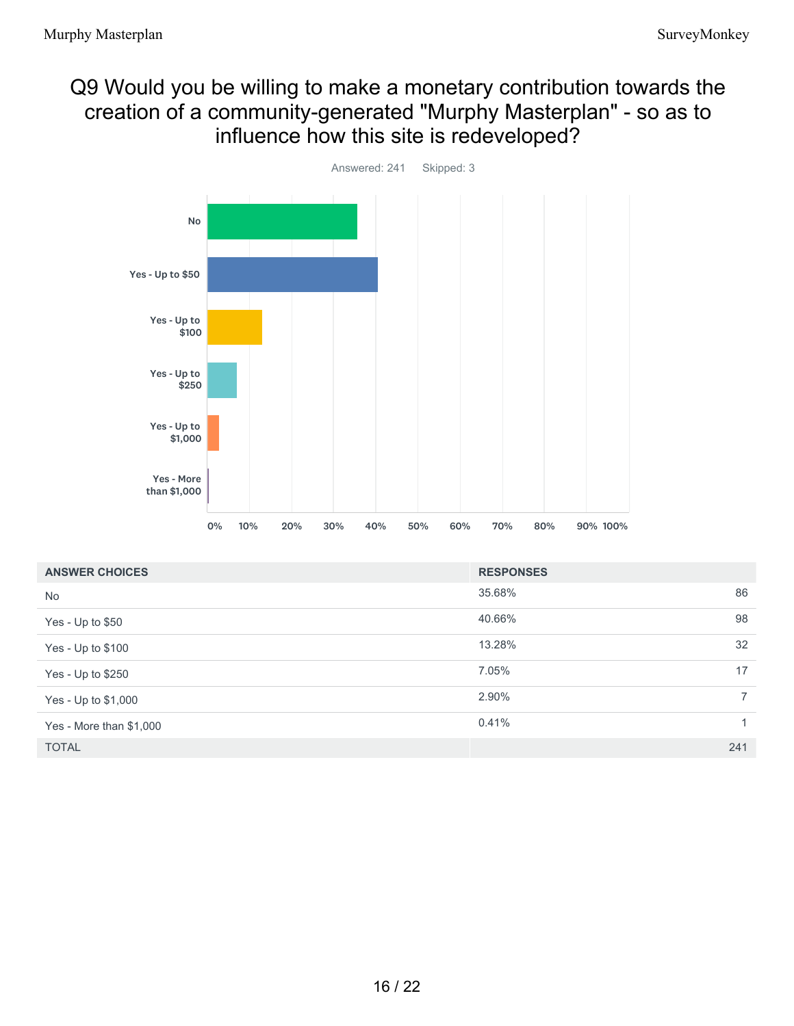## Q9 Would you be willing to make a monetary contribution towards the creation of a community-generated "Murphy Masterplan" - so as to influence how this site is redeveloped?



| <b>ANSWER CHOICES</b>   | <b>RESPONSES</b> |                |
|-------------------------|------------------|----------------|
| <b>No</b>               | 35.68%           | 86             |
| Yes - Up to \$50        | 40.66%           | 98             |
| Yes - Up to \$100       | 13.28%           | 32             |
| Yes - Up to \$250       | 7.05%            | 17             |
| Yes - Up to \$1,000     | 2.90%            | $\overline{7}$ |
| Yes - More than \$1,000 | 0.41%            | $\mathbf{1}$   |
| <b>TOTAL</b>            |                  | 241            |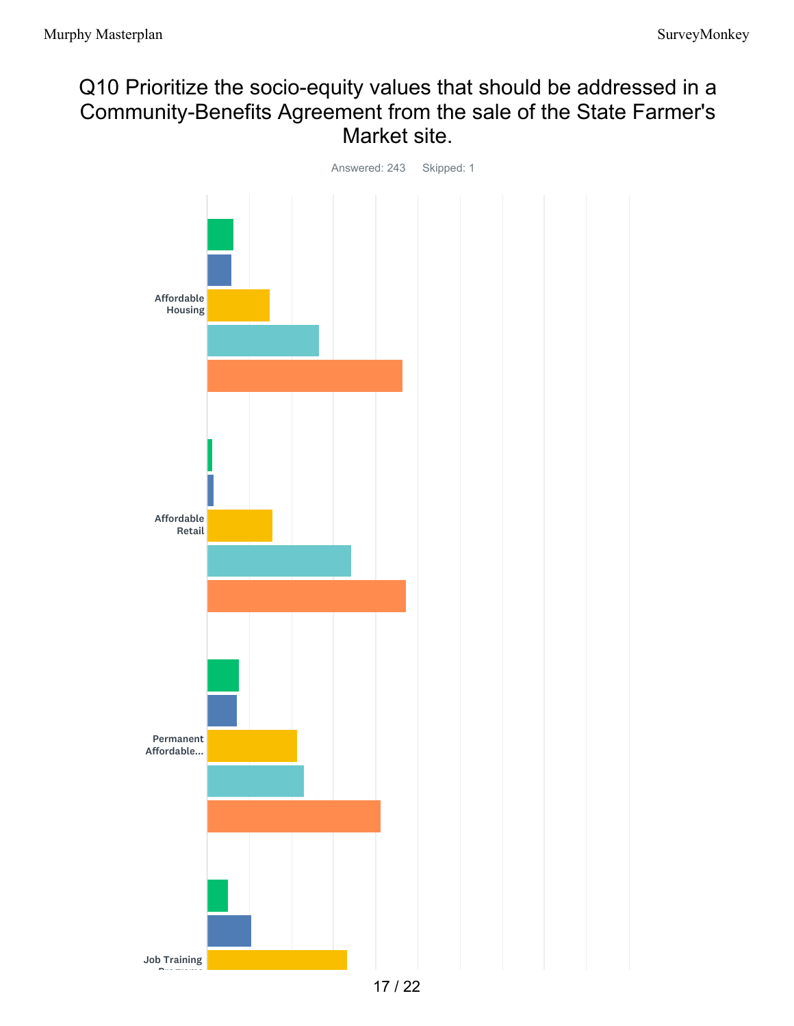## Q10 Prioritize the socio-equity values that should be addressed in a Community-Benefits Agreement from the sale of the State Farmer's Market site.

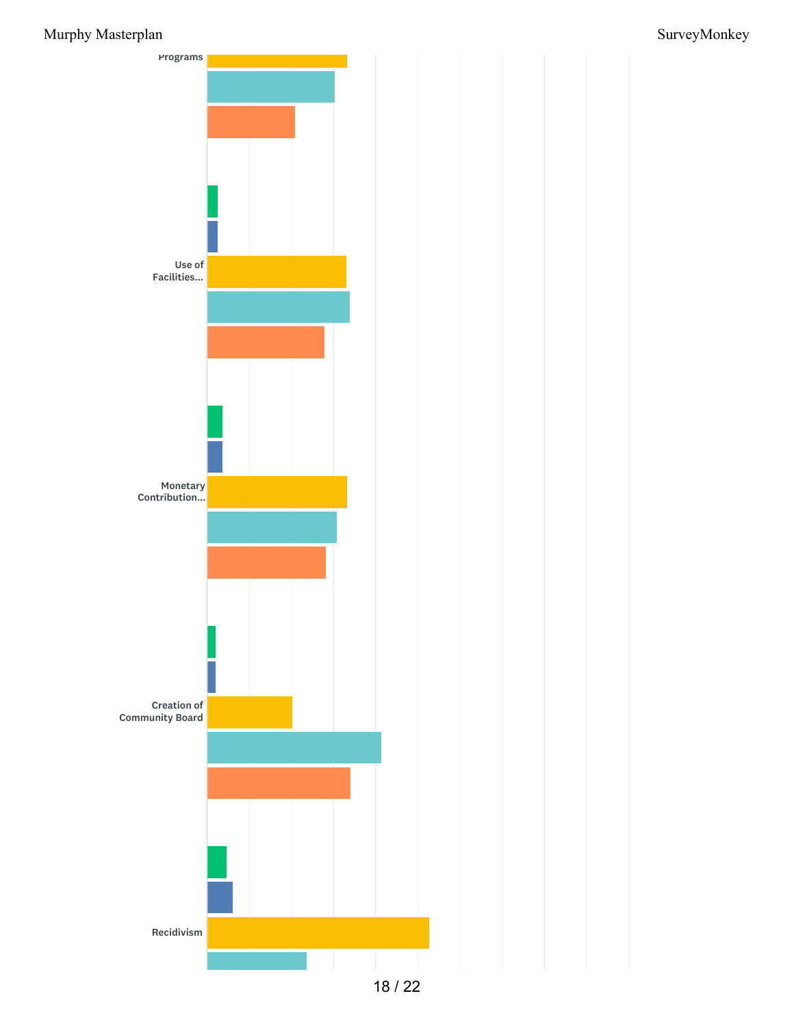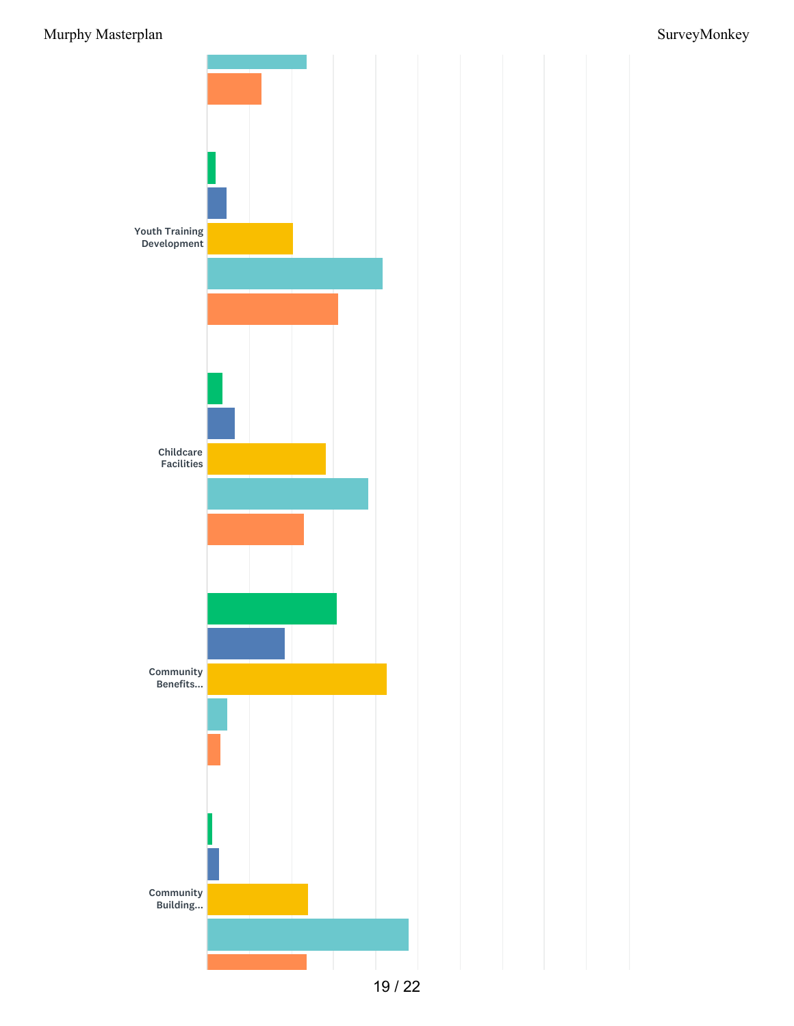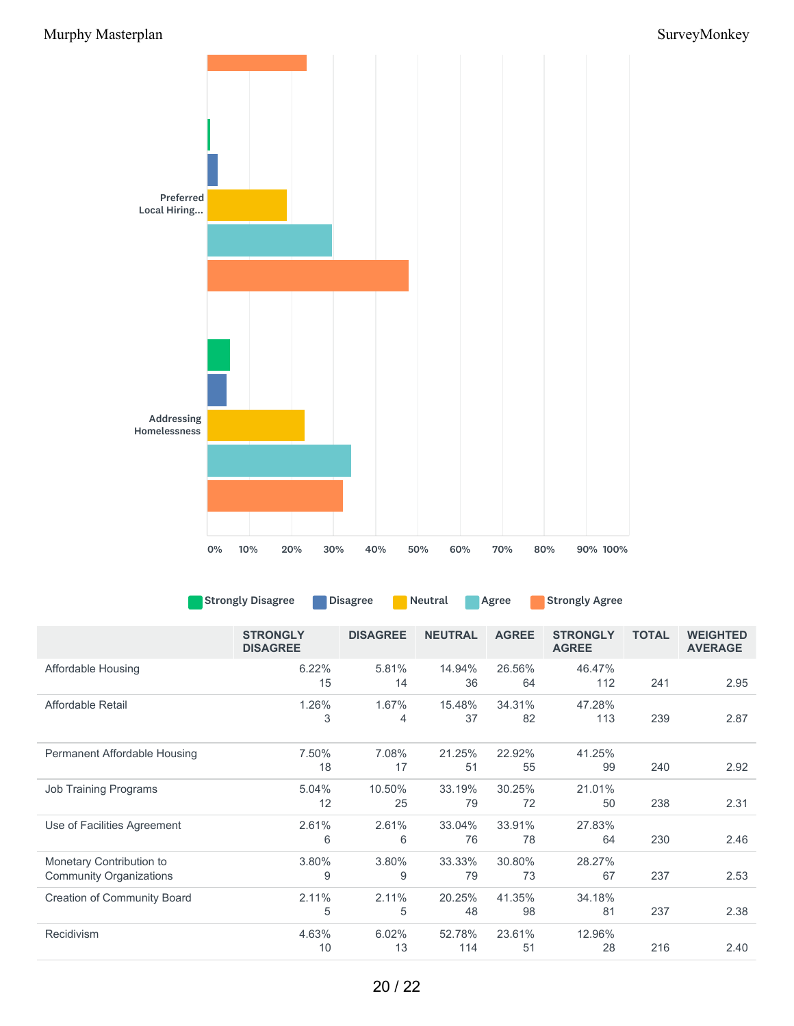

| Strongly Disagree | Disagree | <b>Neutral</b> | <b>Agree</b> | <b>Strongly Agree</b> |
|-------------------|----------|----------------|--------------|-----------------------|
|-------------------|----------|----------------|--------------|-----------------------|

|                                                            | <b>STRONGLY</b><br><b>DISAGREE</b> | <b>DISAGREE</b> | <b>NEUTRAL</b> | <b>AGREE</b> | <b>STRONGLY</b><br><b>AGREE</b> | <b>TOTAL</b> | <b>WEIGHTED</b><br><b>AVERAGE</b> |
|------------------------------------------------------------|------------------------------------|-----------------|----------------|--------------|---------------------------------|--------------|-----------------------------------|
| Affordable Housing                                         | 6.22%<br>15                        | 5.81%<br>14     | 14.94%<br>36   | 26.56%<br>64 | 46.47%<br>112                   | 241          | 2.95                              |
| Affordable Retail                                          | 1.26%<br>3                         | 1.67%<br>4      | 15.48%<br>37   | 34.31%<br>82 | 47.28%<br>113                   | 239          | 2.87                              |
| Permanent Affordable Housing                               | 7.50%<br>18                        | 7.08%<br>17     | 21.25%<br>51   | 22.92%<br>55 | 41.25%<br>99                    | 240          | 2.92                              |
| <b>Job Training Programs</b>                               | 5.04%<br>12                        | 10.50%<br>25    | 33.19%<br>79   | 30.25%<br>72 | 21.01%<br>50                    | 238          | 2.31                              |
| Use of Facilities Agreement                                | 2.61%<br>6                         | 2.61%<br>6      | 33.04%<br>76   | 33.91%<br>78 | 27.83%<br>64                    | 230          | 2.46                              |
| Monetary Contribution to<br><b>Community Organizations</b> | 3.80%<br>9                         | 3.80%<br>9      | 33.33%<br>79   | 30.80%<br>73 | 28.27%<br>67                    | 237          | 2.53                              |
| <b>Creation of Community Board</b>                         | 2.11%<br>5                         | 2.11%<br>5      | 20.25%<br>48   | 41.35%<br>98 | 34.18%<br>81                    | 237          | 2.38                              |
| Recidivism                                                 | 4.63%<br>10                        | 6.02%<br>13     | 52.78%<br>114  | 23.61%<br>51 | 12.96%<br>28                    | 216          | 2.40                              |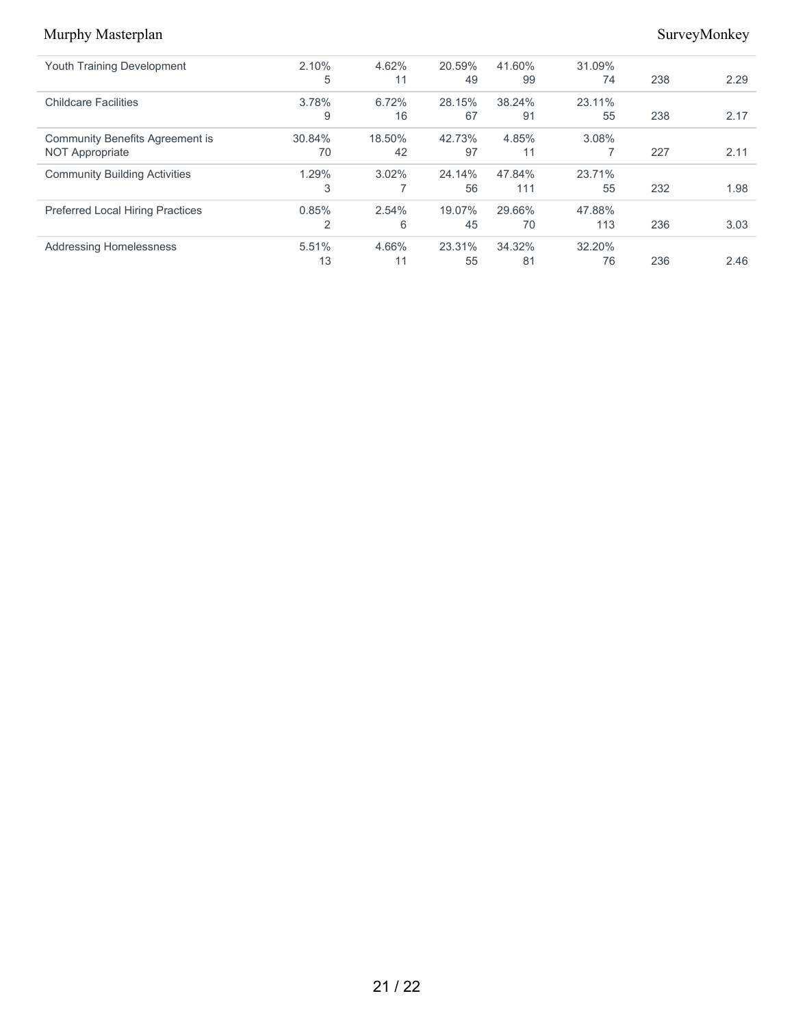| <b>Youth Training Development</b>       | 2.10%          | 4.62%    | 20.59% | 41.60% | 31.09% |     |      |
|-----------------------------------------|----------------|----------|--------|--------|--------|-----|------|
|                                         | 5              | 11       | 49     | 99     | 74     | 238 | 2.29 |
| <b>Childcare Facilities</b>             | 3.78%          | 6.72%    | 28.15% | 38.24% | 23.11% |     |      |
|                                         | 9              | 16       | 67     | 91     | 55     | 238 | 2.17 |
| <b>Community Benefits Agreement is</b>  | 30.84%         | 18.50%   | 42.73% | 4.85%  | 3.08%  |     |      |
| <b>NOT Appropriate</b>                  | 70             | 42       | 97     | 11     |        | 227 | 2.11 |
| <b>Community Building Activities</b>    | 1.29%          | $3.02\%$ | 24.14% | 47.84% | 23.71% |     |      |
|                                         | 3              | ⇁        | 56     | 111    | 55     | 232 | 1.98 |
| <b>Preferred Local Hiring Practices</b> | 0.85%          | 2.54%    | 19.07% | 29.66% | 47.88% |     |      |
|                                         | $\overline{2}$ | 6        | 45     | 70     | 113    | 236 | 3.03 |
| <b>Addressing Homelessness</b>          | 5.51%          | 4.66%    | 23.31% | 34.32% | 32.20% |     |      |
|                                         | 13             | 11       | 55     | 81     | 76     | 236 | 2.46 |
|                                         |                |          |        |        |        |     |      |